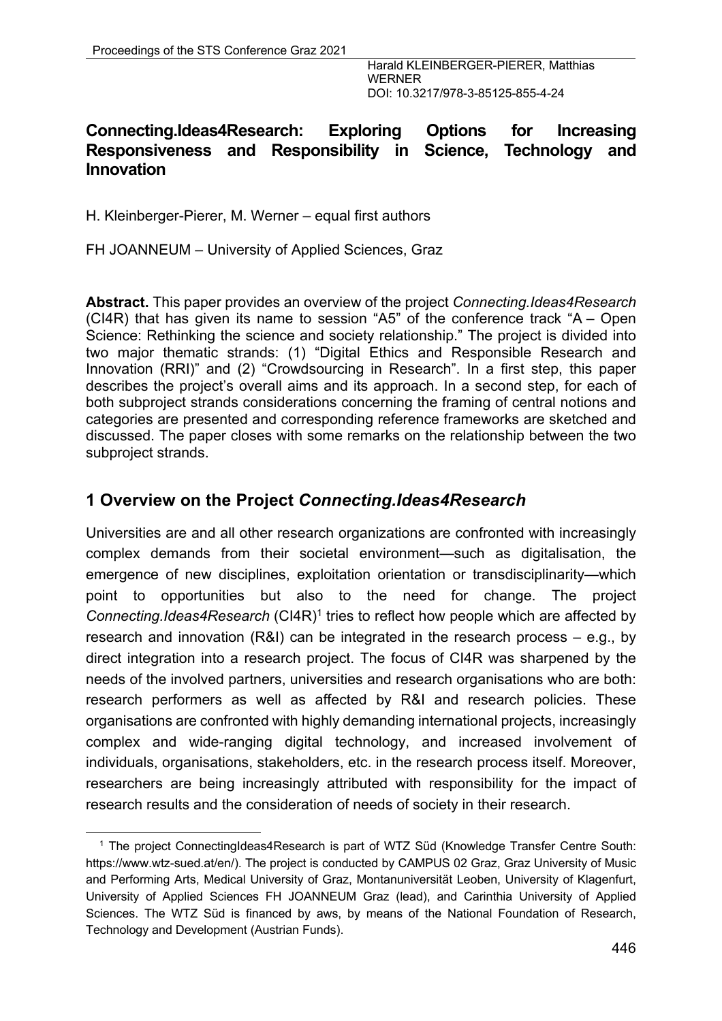## **Connecting.Ideas4Research: Exploring Options for Increasing Responsiveness and Responsibility in Science, Technology and Innovation**

H. Kleinberger-Pierer, M. Werner – equal first authors

FH JOANNEUM – University of Applied Sciences, Graz

**Abstract.** This paper provides an overview of the project *Connecting.Ideas4Research* (CI4R) that has given its name to session "A5" of the conference track "A – Open Science: Rethinking the science and society relationship." The project is divided into two major thematic strands: (1) "Digital Ethics and Responsible Research and Innovation (RRI)" and (2) "Crowdsourcing in Research". In a first step, this paper describes the project's overall aims and its approach. In a second step, for each of both subproject strands considerations concerning the framing of central notions and categories are presented and corresponding reference frameworks are sketched and discussed. The paper closes with some remarks on the relationship between the two subproject strands.

### **1 Overview on the Project** *Connecting.Ideas4Research*

Universities are and all other research organizations are confronted with increasingly complex demands from their societal environment—such as digitalisation, the emergence of new disciplines, exploitation orientation or transdisciplinarity—which point to opportunities but also to the need for change. The project *Connecting.Ideas4Research* (CI4R)<sup>1</sup> tries to reflect how people which are affected by research and innovation (R&I) can be integrated in the research process – e.g., by direct integration into a research project. The focus of CI4R was sharpened by the needs of the involved partners, universities and research organisations who are both: research performers as well as affected by R&I and research policies. These organisations are confronted with highly demanding international projects, increasingly complex and wide-ranging digital technology, and increased involvement of individuals, organisations, stakeholders, etc. in the research process itself. Moreover, researchers are being increasingly attributed with responsibility for the impact of research results and the consideration of needs of society in their research.

<sup>1</sup> The project ConnectingIdeas4Research is part of WTZ Süd (Knowledge Transfer Centre South: https://www.wtz-sued.at/en/). The project is conducted by CAMPUS 02 Graz, Graz University of Music and Performing Arts, Medical University of Graz, Montanuniversität Leoben, University of Klagenfurt, University of Applied Sciences FH JOANNEUM Graz (lead), and Carinthia University of Applied Sciences. The WTZ Süd is financed by aws, by means of the National Foundation of Research, Technology and Development (Austrian Funds).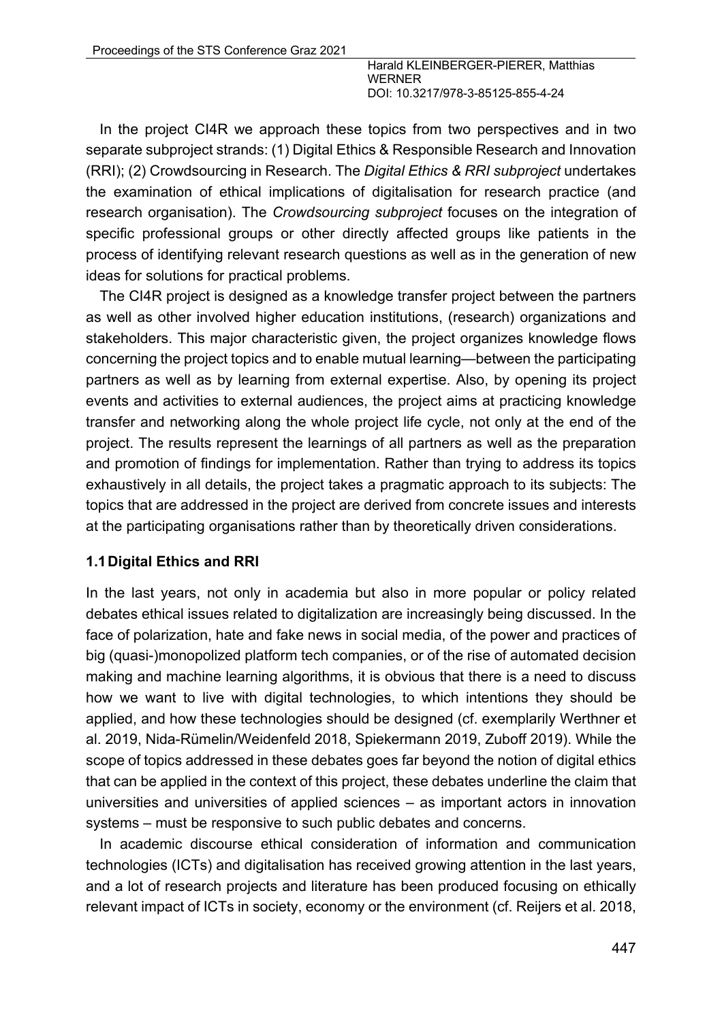In the project CI4R we approach these topics from two perspectives and in two separate subproject strands: (1) Digital Ethics & Responsible Research and Innovation (RRI); (2) Crowdsourcing in Research. The *Digital Ethics & RRI subproject* undertakes the examination of ethical implications of digitalisation for research practice (and research organisation). The *Crowdsourcing subproject* focuses on the integration of specific professional groups or other directly affected groups like patients in the process of identifying relevant research questions as well as in the generation of new ideas for solutions for practical problems.

The CI4R project is designed as a knowledge transfer project between the partners as well as other involved higher education institutions, (research) organizations and stakeholders. This major characteristic given, the project organizes knowledge flows concerning the project topics and to enable mutual learning—between the participating partners as well as by learning from external expertise. Also, by opening its project events and activities to external audiences, the project aims at practicing knowledge transfer and networking along the whole project life cycle, not only at the end of the project. The results represent the learnings of all partners as well as the preparation and promotion of findings for implementation. Rather than trying to address its topics exhaustively in all details, the project takes a pragmatic approach to its subjects: The topics that are addressed in the project are derived from concrete issues and interests at the participating organisations rather than by theoretically driven considerations.

### **1.1Digital Ethics and RRI**

In the last years, not only in academia but also in more popular or policy related debates ethical issues related to digitalization are increasingly being discussed. In the face of polarization, hate and fake news in social media, of the power and practices of big (quasi-)monopolized platform tech companies, or of the rise of automated decision making and machine learning algorithms, it is obvious that there is a need to discuss how we want to live with digital technologies, to which intentions they should be applied, and how these technologies should be designed (cf. exemplarily Werthner et al. 2019, Nida-Rümelin/Weidenfeld 2018, Spiekermann 2019, Zuboff 2019). While the scope of topics addressed in these debates goes far beyond the notion of digital ethics that can be applied in the context of this project, these debates underline the claim that universities and universities of applied sciences – as important actors in innovation systems – must be responsive to such public debates and concerns.

In academic discourse ethical consideration of information and communication technologies (ICTs) and digitalisation has received growing attention in the last years, and a lot of research projects and literature has been produced focusing on ethically relevant impact of ICTs in society, economy or the environment (cf. Reijers et al. 2018,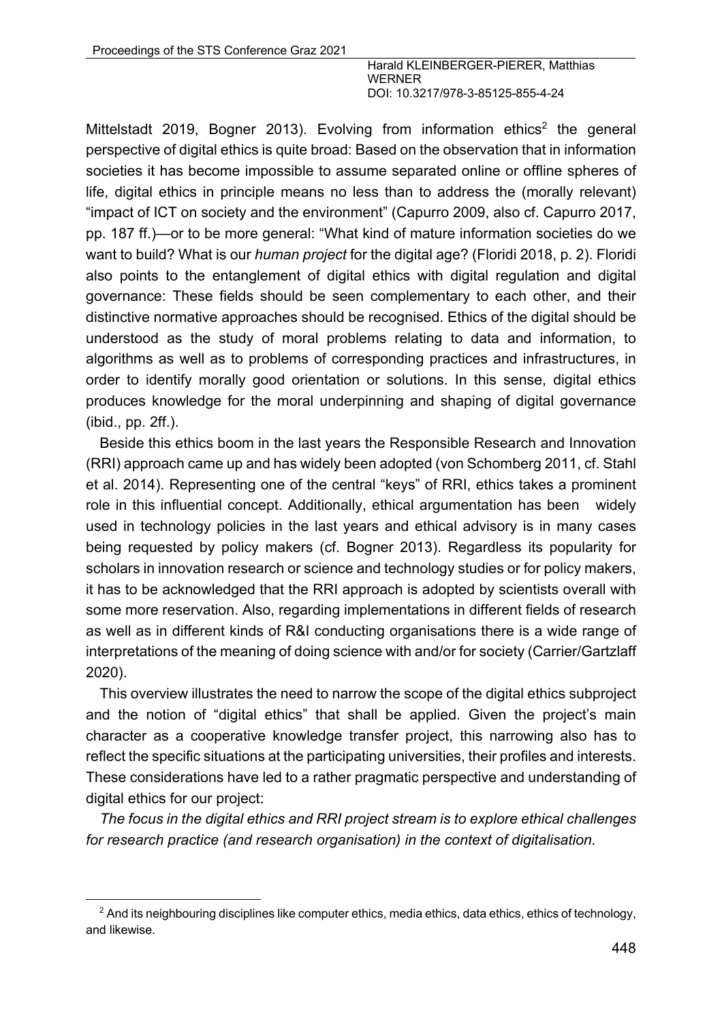Mittelstadt 2019, Bogner 2013). Evolving from information ethics<sup>2</sup> the general perspective of digital ethics is quite broad: Based on the observation that in information societies it has become impossible to assume separated online or offline spheres of life, digital ethics in principle means no less than to address the (morally relevant) "impact of ICT on society and the environment" (Capurro 2009, also cf. Capurro 2017, pp. 187 ff.)—or to be more general: "What kind of mature information societies do we want to build? What is our *human project* for the digital age? (Floridi 2018, p. 2). Floridi also points to the entanglement of digital ethics with digital regulation and digital governance: These fields should be seen complementary to each other, and their distinctive normative approaches should be recognised. Ethics of the digital should be understood as the study of moral problems relating to data and information, to algorithms as well as to problems of corresponding practices and infrastructures, in order to identify morally good orientation or solutions. In this sense, digital ethics produces knowledge for the moral underpinning and shaping of digital governance (ibid., pp. 2ff.).

Beside this ethics boom in the last years the Responsible Research and Innovation (RRI) approach came up and has widely been adopted (von Schomberg 2011, cf. Stahl et al. 2014). Representing one of the central "keys" of RRI, ethics takes a prominent role in this influential concept. Additionally, ethical argumentation has been widely used in technology policies in the last years and ethical advisory is in many cases being requested by policy makers (cf. Bogner 2013). Regardless its popularity for scholars in innovation research or science and technology studies or for policy makers, it has to be acknowledged that the RRI approach is adopted by scientists overall with some more reservation. Also, regarding implementations in different fields of research as well as in different kinds of R&I conducting organisations there is a wide range of interpretations of the meaning of doing science with and/or for society (Carrier/Gartzlaff 2020).

This overview illustrates the need to narrow the scope of the digital ethics subproject and the notion of "digital ethics" that shall be applied. Given the project's main character as a cooperative knowledge transfer project, this narrowing also has to reflect the specific situations at the participating universities, their profiles and interests. These considerations have led to a rather pragmatic perspective and understanding of digital ethics for our project:

*The focus in the digital ethics and RRI project stream is to explore ethical challenges for research practice (and research organisation) in the context of digitalisation.*

<sup>&</sup>lt;sup>2</sup> And its neighbouring disciplines like computer ethics, media ethics, data ethics, ethics of technology, and likewise.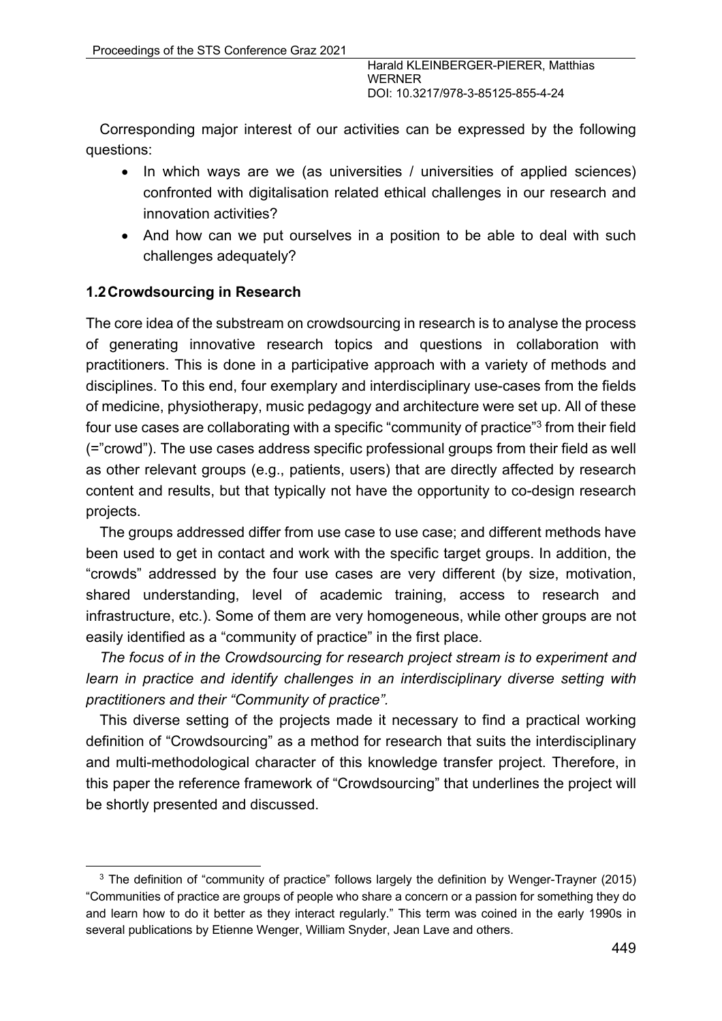Corresponding major interest of our activities can be expressed by the following questions:

- In which ways are we (as universities / universities of applied sciences) confronted with digitalisation related ethical challenges in our research and innovation activities?
- And how can we put ourselves in a position to be able to deal with such challenges adequately?

#### **1.2Crowdsourcing in Research**

The core idea of the substream on crowdsourcing in research is to analyse the process of generating innovative research topics and questions in collaboration with practitioners. This is done in a participative approach with a variety of methods and disciplines. To this end, four exemplary and interdisciplinary use-cases from the fields of medicine, physiotherapy, music pedagogy and architecture were set up. All of these four use cases are collaborating with a specific "community of practice"3 from their field (="crowd"). The use cases address specific professional groups from their field as well as other relevant groups (e.g., patients, users) that are directly affected by research content and results, but that typically not have the opportunity to co-design research projects.

The groups addressed differ from use case to use case; and different methods have been used to get in contact and work with the specific target groups. In addition, the "crowds" addressed by the four use cases are very different (by size, motivation, shared understanding, level of academic training, access to research and infrastructure, etc.). Some of them are very homogeneous, while other groups are not easily identified as a "community of practice" in the first place.

*The focus of in the Crowdsourcing for research project stream is to experiment and learn in practice and identify challenges in an interdisciplinary diverse setting with practitioners and their "Community of practice".*

This diverse setting of the projects made it necessary to find a practical working definition of "Crowdsourcing" as a method for research that suits the interdisciplinary and multi-methodological character of this knowledge transfer project. Therefore, in this paper the reference framework of "Crowdsourcing" that underlines the project will be shortly presented and discussed.

<sup>&</sup>lt;sup>3</sup> The definition of "community of practice" follows largely the definition by Wenger-Trayner (2015) "Communities of practice are groups of people who share a concern or a passion for something they do and learn how to do it better as they interact regularly." This term was coined in the early 1990s in several publications by Etienne Wenger, William Snyder, Jean Lave and others.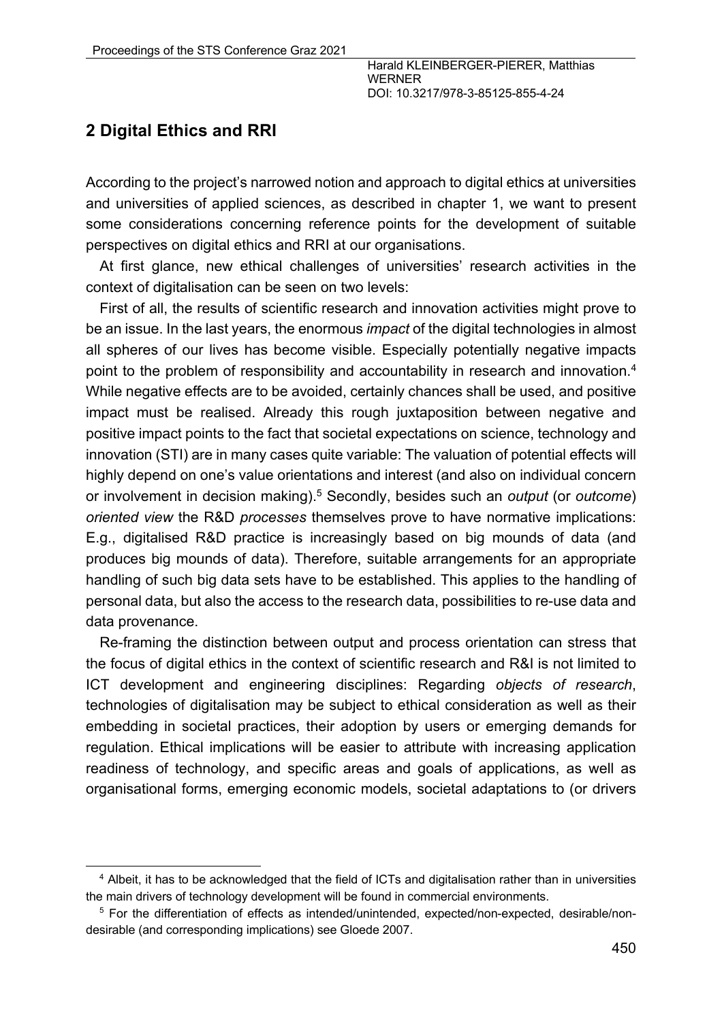# **2 Digital Ethics and RRI**

According to the project's narrowed notion and approach to digital ethics at universities and universities of applied sciences, as described in chapter 1, we want to present some considerations concerning reference points for the development of suitable perspectives on digital ethics and RRI at our organisations.

At first glance, new ethical challenges of universities' research activities in the context of digitalisation can be seen on two levels:

First of all, the results of scientific research and innovation activities might prove to be an issue. In the last years, the enormous *impact* of the digital technologies in almost all spheres of our lives has become visible. Especially potentially negative impacts point to the problem of responsibility and accountability in research and innovation.<sup>4</sup> While negative effects are to be avoided, certainly chances shall be used, and positive impact must be realised. Already this rough juxtaposition between negative and positive impact points to the fact that societal expectations on science, technology and innovation (STI) are in many cases quite variable: The valuation of potential effects will highly depend on one's value orientations and interest (and also on individual concern or involvement in decision making).5 Secondly, besides such an *output* (or *outcome*) *oriented view* the R&D *processes* themselves prove to have normative implications: E.g., digitalised R&D practice is increasingly based on big mounds of data (and produces big mounds of data). Therefore, suitable arrangements for an appropriate handling of such big data sets have to be established. This applies to the handling of personal data, but also the access to the research data, possibilities to re-use data and data provenance.

Re-framing the distinction between output and process orientation can stress that the focus of digital ethics in the context of scientific research and R&I is not limited to ICT development and engineering disciplines: Regarding *objects of research*, technologies of digitalisation may be subject to ethical consideration as well as their embedding in societal practices, their adoption by users or emerging demands for regulation. Ethical implications will be easier to attribute with increasing application readiness of technology, and specific areas and goals of applications, as well as organisational forms, emerging economic models, societal adaptations to (or drivers

<sup>4</sup> Albeit, it has to be acknowledged that the field of ICTs and digitalisation rather than in universities the main drivers of technology development will be found in commercial environments.

<sup>5</sup> For the differentiation of effects as intended/unintended, expected/non-expected, desirable/nondesirable (and corresponding implications) see Gloede 2007.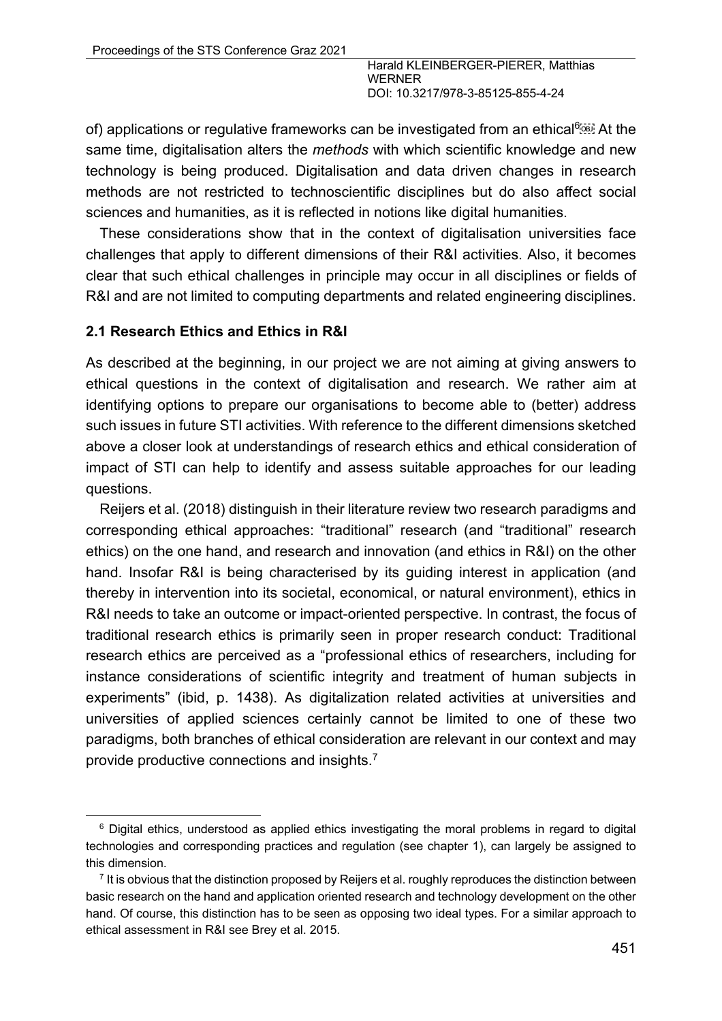of) applications or regulative frameworks can be investigated from an ethical<sup>6</sup> same time, digitalisation alters the *methods* with which scientific knowledge and new technology is being produced. Digitalisation and data driven changes in research methods are not restricted to technoscientific disciplines but do also affect social sciences and humanities, as it is reflected in notions like digital humanities.

These considerations show that in the context of digitalisation universities face challenges that apply to different dimensions of their R&I activities. Also, it becomes clear that such ethical challenges in principle may occur in all disciplines or fields of R&I and are not limited to computing departments and related engineering disciplines.

#### **2.1 Research Ethics and Ethics in R&I**

As described at the beginning, in our project we are not aiming at giving answers to ethical questions in the context of digitalisation and research. We rather aim at identifying options to prepare our organisations to become able to (better) address such issues in future STI activities. With reference to the different dimensions sketched above a closer look at understandings of research ethics and ethical consideration of impact of STI can help to identify and assess suitable approaches for our leading questions.

Reijers et al. (2018) distinguish in their literature review two research paradigms and corresponding ethical approaches: "traditional" research (and "traditional" research ethics) on the one hand, and research and innovation (and ethics in R&I) on the other hand. Insofar R&I is being characterised by its guiding interest in application (and thereby in intervention into its societal, economical, or natural environment), ethics in R&I needs to take an outcome or impact-oriented perspective. In contrast, the focus of traditional research ethics is primarily seen in proper research conduct: Traditional research ethics are perceived as a "professional ethics of researchers, including for instance considerations of scientific integrity and treatment of human subjects in experiments" (ibid, p. 1438). As digitalization related activities at universities and universities of applied sciences certainly cannot be limited to one of these two paradigms, both branches of ethical consideration are relevant in our context and may provide productive connections and insights.<sup>7</sup>

<sup>&</sup>lt;sup>6</sup> Digital ethics, understood as applied ethics investigating the moral problems in regard to digital technologies and corresponding practices and regulation (see chapter 1), can largely be assigned to this dimension.

 $<sup>7</sup>$  It is obvious that the distinction proposed by Reijers et al. roughly reproduces the distinction between</sup> basic research on the hand and application oriented research and technology development on the other hand. Of course, this distinction has to be seen as opposing two ideal types. For a similar approach to ethical assessment in R&I see Brey et al. 2015.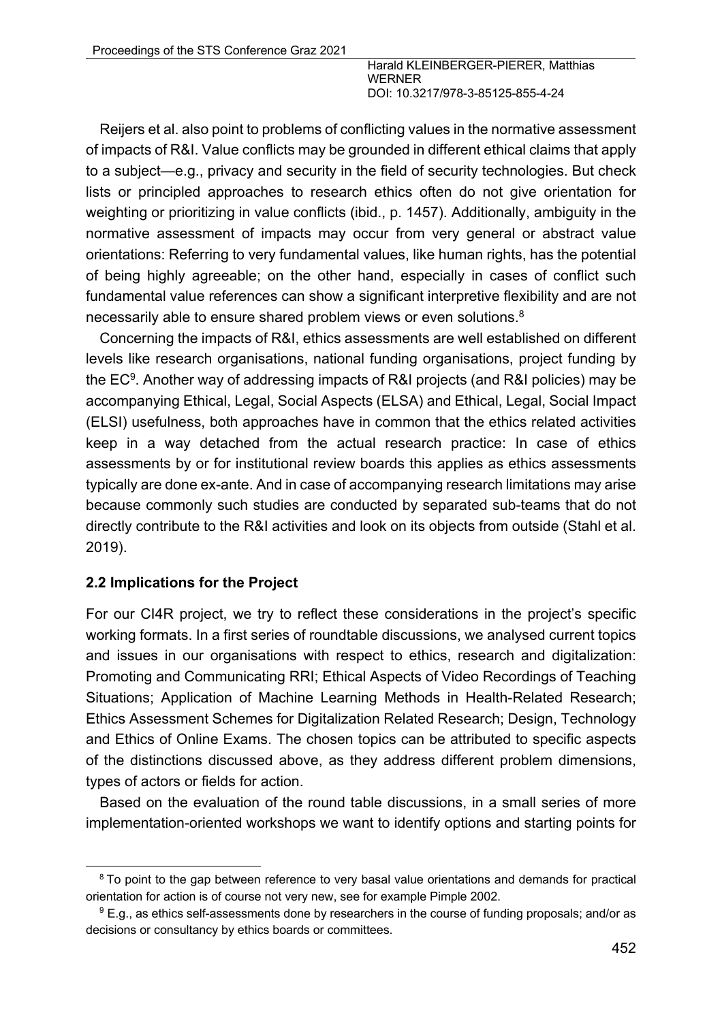Reijers et al. also point to problems of conflicting values in the normative assessment of impacts of R&I. Value conflicts may be grounded in different ethical claims that apply to a subject—e.g., privacy and security in the field of security technologies. But check lists or principled approaches to research ethics often do not give orientation for weighting or prioritizing in value conflicts (ibid., p. 1457). Additionally, ambiguity in the normative assessment of impacts may occur from very general or abstract value orientations: Referring to very fundamental values, like human rights, has the potential of being highly agreeable; on the other hand, especially in cases of conflict such fundamental value references can show a significant interpretive flexibility and are not necessarily able to ensure shared problem views or even solutions.<sup>8</sup>

Concerning the impacts of R&I, ethics assessments are well established on different levels like research organisations, national funding organisations, project funding by the EC9. Another way of addressing impacts of R&I projects (and R&I policies) may be accompanying Ethical, Legal, Social Aspects (ELSA) and Ethical, Legal, Social Impact (ELSI) usefulness, both approaches have in common that the ethics related activities keep in a way detached from the actual research practice: In case of ethics assessments by or for institutional review boards this applies as ethics assessments typically are done ex-ante. And in case of accompanying research limitations may arise because commonly such studies are conducted by separated sub-teams that do not directly contribute to the R&I activities and look on its objects from outside (Stahl et al. 2019).

### **2.2 Implications for the Project**

For our CI4R project, we try to reflect these considerations in the project's specific working formats. In a first series of roundtable discussions, we analysed current topics and issues in our organisations with respect to ethics, research and digitalization: Promoting and Communicating RRI; Ethical Aspects of Video Recordings of Teaching Situations; Application of Machine Learning Methods in Health-Related Research; Ethics Assessment Schemes for Digitalization Related Research; Design, Technology and Ethics of Online Exams. The chosen topics can be attributed to specific aspects of the distinctions discussed above, as they address different problem dimensions, types of actors or fields for action.

Based on the evaluation of the round table discussions, in a small series of more implementation-oriented workshops we want to identify options and starting points for

<sup>&</sup>lt;sup>8</sup> To point to the gap between reference to very basal value orientations and demands for practical orientation for action is of course not very new, see for example Pimple 2002.

<sup>&</sup>lt;sup>9</sup> E.g., as ethics self-assessments done by researchers in the course of funding proposals; and/or as decisions or consultancy by ethics boards or committees.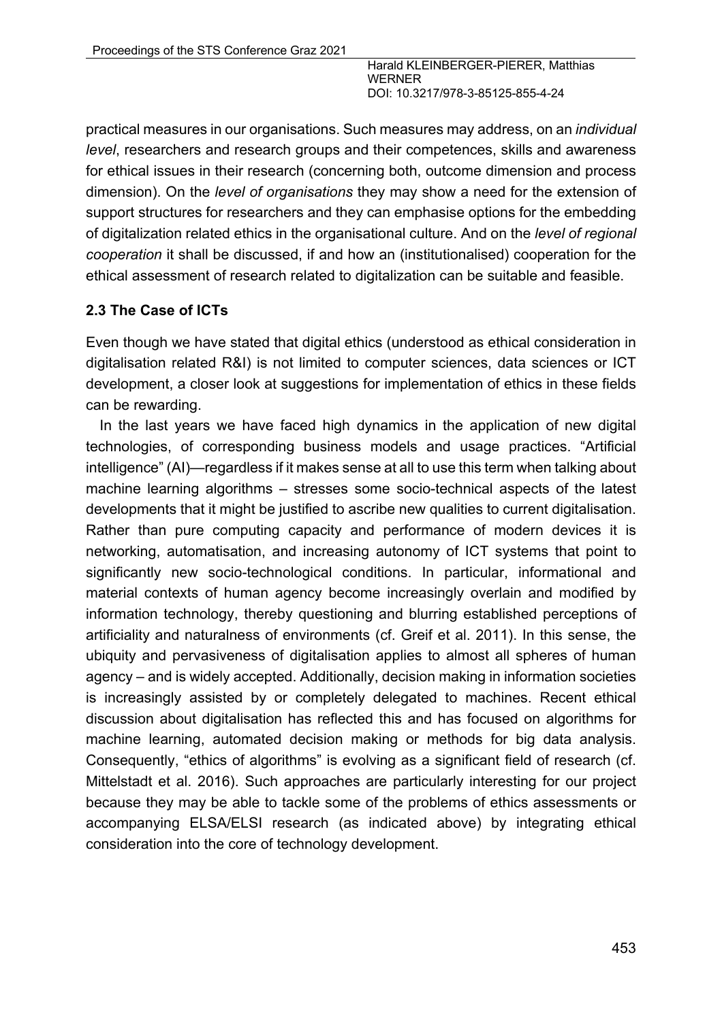practical measures in our organisations. Such measures may address, on an *individual level*, researchers and research groups and their competences, skills and awareness for ethical issues in their research (concerning both, outcome dimension and process dimension). On the *level of organisations* they may show a need for the extension of support structures for researchers and they can emphasise options for the embedding of digitalization related ethics in the organisational culture. And on the *level of regional cooperation* it shall be discussed, if and how an (institutionalised) cooperation for the ethical assessment of research related to digitalization can be suitable and feasible.

### **2.3 The Case of ICTs**

Even though we have stated that digital ethics (understood as ethical consideration in digitalisation related R&I) is not limited to computer sciences, data sciences or ICT development, a closer look at suggestions for implementation of ethics in these fields can be rewarding.

In the last years we have faced high dynamics in the application of new digital technologies, of corresponding business models and usage practices. "Artificial intelligence" (AI)—regardless if it makes sense at all to use this term when talking about machine learning algorithms – stresses some socio-technical aspects of the latest developments that it might be justified to ascribe new qualities to current digitalisation. Rather than pure computing capacity and performance of modern devices it is networking, automatisation, and increasing autonomy of ICT systems that point to significantly new socio-technological conditions. In particular, informational and material contexts of human agency become increasingly overlain and modified by information technology, thereby questioning and blurring established perceptions of artificiality and naturalness of environments (cf. Greif et al. 2011). In this sense, the ubiquity and pervasiveness of digitalisation applies to almost all spheres of human agency – and is widely accepted. Additionally, decision making in information societies is increasingly assisted by or completely delegated to machines. Recent ethical discussion about digitalisation has reflected this and has focused on algorithms for machine learning, automated decision making or methods for big data analysis. Consequently, "ethics of algorithms" is evolving as a significant field of research (cf. Mittelstadt et al. 2016). Such approaches are particularly interesting for our project because they may be able to tackle some of the problems of ethics assessments or accompanying ELSA/ELSI research (as indicated above) by integrating ethical consideration into the core of technology development.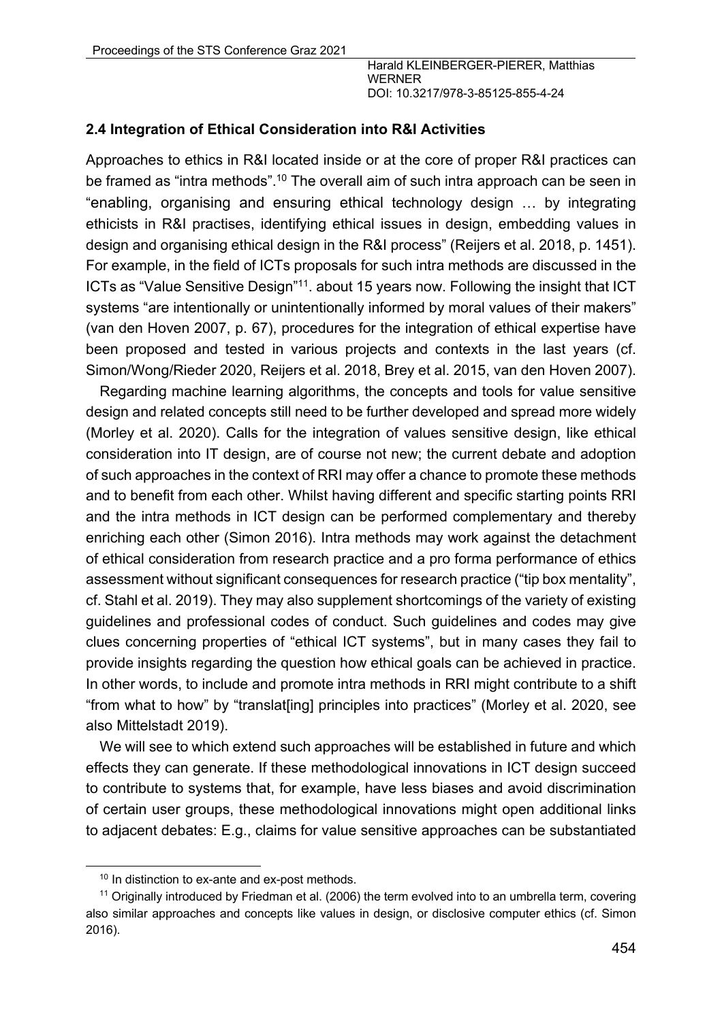#### **2.4 Integration of Ethical Consideration into R&I Activities**

Approaches to ethics in R&I located inside or at the core of proper R&I practices can be framed as "intra methods".<sup>10</sup> The overall aim of such intra approach can be seen in "enabling, organising and ensuring ethical technology design … by integrating ethicists in R&I practises, identifying ethical issues in design, embedding values in design and organising ethical design in the R&I process" (Reijers et al. 2018, p. 1451). For example, in the field of ICTs proposals for such intra methods are discussed in the ICTs as "Value Sensitive Design"11. about 15 years now. Following the insight that ICT systems "are intentionally or unintentionally informed by moral values of their makers" (van den Hoven 2007, p. 67), procedures for the integration of ethical expertise have been proposed and tested in various projects and contexts in the last years (cf. Simon/Wong/Rieder 2020, Reijers et al. 2018, Brey et al. 2015, van den Hoven 2007).

Regarding machine learning algorithms, the concepts and tools for value sensitive design and related concepts still need to be further developed and spread more widely (Morley et al. 2020). Calls for the integration of values sensitive design, like ethical consideration into IT design, are of course not new; the current debate and adoption of such approaches in the context of RRI may offer a chance to promote these methods and to benefit from each other. Whilst having different and specific starting points RRI and the intra methods in ICT design can be performed complementary and thereby enriching each other (Simon 2016). Intra methods may work against the detachment of ethical consideration from research practice and a pro forma performance of ethics assessment without significant consequences for research practice ("tip box mentality", cf. Stahl et al. 2019). They may also supplement shortcomings of the variety of existing guidelines and professional codes of conduct. Such guidelines and codes may give clues concerning properties of "ethical ICT systems", but in many cases they fail to provide insights regarding the question how ethical goals can be achieved in practice. In other words, to include and promote intra methods in RRI might contribute to a shift "from what to how" by "translat[ing] principles into practices" (Morley et al. 2020, see also Mittelstadt 2019).

We will see to which extend such approaches will be established in future and which effects they can generate. If these methodological innovations in ICT design succeed to contribute to systems that, for example, have less biases and avoid discrimination of certain user groups, these methodological innovations might open additional links to adjacent debates: E.g., claims for value sensitive approaches can be substantiated

<sup>&</sup>lt;sup>10</sup> In distinction to ex-ante and ex-post methods.

<sup>11</sup> Originally introduced by Friedman et al. (2006) the term evolved into to an umbrella term, covering also similar approaches and concepts like values in design, or disclosive computer ethics (cf. Simon 2016).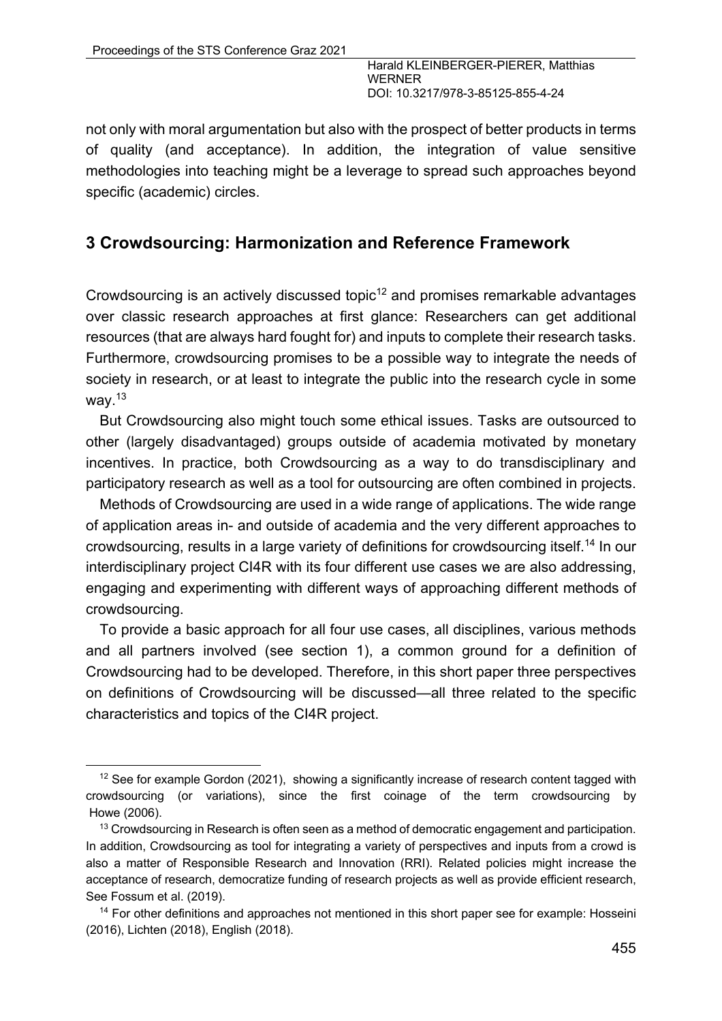not only with moral argumentation but also with the prospect of better products in terms of quality (and acceptance). In addition, the integration of value sensitive methodologies into teaching might be a leverage to spread such approaches beyond specific (academic) circles.

## **3 Crowdsourcing: Harmonization and Reference Framework**

Crowdsourcing is an actively discussed topic $12$  and promises remarkable advantages over classic research approaches at first glance: Researchers can get additional resources (that are always hard fought for) and inputs to complete their research tasks. Furthermore, crowdsourcing promises to be a possible way to integrate the needs of society in research, or at least to integrate the public into the research cycle in some way. $13$ 

But Crowdsourcing also might touch some ethical issues. Tasks are outsourced to other (largely disadvantaged) groups outside of academia motivated by monetary incentives. In practice, both Crowdsourcing as a way to do transdisciplinary and participatory research as well as a tool for outsourcing are often combined in projects.

Methods of Crowdsourcing are used in a wide range of applications. The wide range of application areas in- and outside of academia and the very different approaches to crowdsourcing, results in a large variety of definitions for crowdsourcing itself.14 In our interdisciplinary project CI4R with its four different use cases we are also addressing, engaging and experimenting with different ways of approaching different methods of crowdsourcing.

To provide a basic approach for all four use cases, all disciplines, various methods and all partners involved (see section 1), a common ground for a definition of Crowdsourcing had to be developed. Therefore, in this short paper three perspectives on definitions of Crowdsourcing will be discussed—all three related to the specific characteristics and topics of the CI4R project.

<sup>&</sup>lt;sup>12</sup> See for example Gordon (2021), showing a significantly increase of research content tagged with crowdsourcing (or variations), since the first coinage of the term crowdsourcing by Howe (2006).

<sup>&</sup>lt;sup>13</sup> Crowdsourcing in Research is often seen as a method of democratic engagement and participation. In addition, Crowdsourcing as tool for integrating a variety of perspectives and inputs from a crowd is also a matter of Responsible Research and Innovation (RRI). Related policies might increase the acceptance of research, democratize funding of research projects as well as provide efficient research, See Fossum et al. (2019).

<sup>&</sup>lt;sup>14</sup> For other definitions and approaches not mentioned in this short paper see for example: Hosseini (2016), Lichten (2018), English (2018).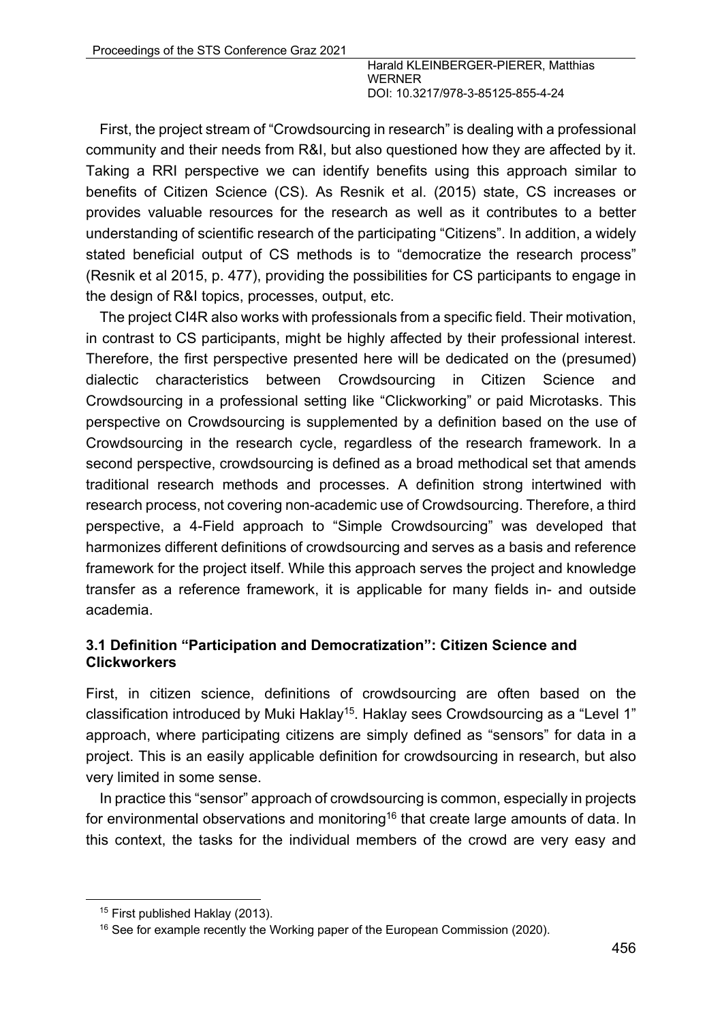First, the project stream of "Crowdsourcing in research" is dealing with a professional community and their needs from R&I, but also questioned how they are affected by it. Taking a RRI perspective we can identify benefits using this approach similar to benefits of Citizen Science (CS). As Resnik et al. (2015) state, CS increases or provides valuable resources for the research as well as it contributes to a better understanding of scientific research of the participating "Citizens". In addition, a widely stated beneficial output of CS methods is to "democratize the research process" (Resnik et al 2015, p. 477), providing the possibilities for CS participants to engage in the design of R&I topics, processes, output, etc.

The project CI4R also works with professionals from a specific field. Their motivation, in contrast to CS participants, might be highly affected by their professional interest. Therefore, the first perspective presented here will be dedicated on the (presumed) dialectic characteristics between Crowdsourcing in Citizen Science and Crowdsourcing in a professional setting like "Clickworking" or paid Microtasks. This perspective on Crowdsourcing is supplemented by a definition based on the use of Crowdsourcing in the research cycle, regardless of the research framework. In a second perspective, crowdsourcing is defined as a broad methodical set that amends traditional research methods and processes. A definition strong intertwined with research process, not covering non-academic use of Crowdsourcing. Therefore, a third perspective, a 4-Field approach to "Simple Crowdsourcing" was developed that harmonizes different definitions of crowdsourcing and serves as a basis and reference framework for the project itself. While this approach serves the project and knowledge transfer as a reference framework, it is applicable for many fields in- and outside academia.

### **3.1 Definition "Participation and Democratization": Citizen Science and Clickworkers**

First, in citizen science, definitions of crowdsourcing are often based on the classification introduced by Muki Haklay<sup>15</sup>. Haklay sees Crowdsourcing as a "Level 1" approach, where participating citizens are simply defined as "sensors" for data in a project. This is an easily applicable definition for crowdsourcing in research, but also very limited in some sense.

In practice this "sensor" approach of crowdsourcing is common, especially in projects for environmental observations and monitoring<sup>16</sup> that create large amounts of data. In this context, the tasks for the individual members of the crowd are very easy and

<sup>&</sup>lt;sup>15</sup> First published Haklay (2013).

<sup>&</sup>lt;sup>16</sup> See for example recently the Working paper of the European Commission (2020).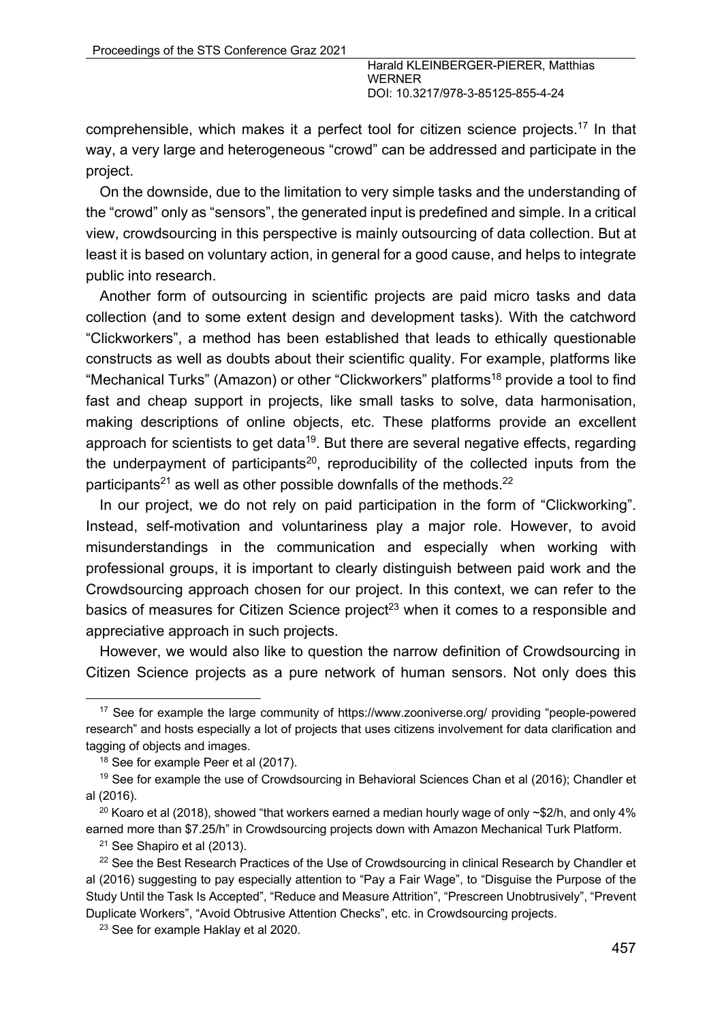comprehensible, which makes it a perfect tool for citizen science projects.<sup>17</sup> In that way, a very large and heterogeneous "crowd" can be addressed and participate in the project.

On the downside, due to the limitation to very simple tasks and the understanding of the "crowd" only as "sensors", the generated input is predefined and simple. In a critical view, crowdsourcing in this perspective is mainly outsourcing of data collection. But at least it is based on voluntary action, in general for a good cause, and helps to integrate public into research.

Another form of outsourcing in scientific projects are paid micro tasks and data collection (and to some extent design and development tasks). With the catchword "Clickworkers", a method has been established that leads to ethically questionable constructs as well as doubts about their scientific quality. For example, platforms like "Mechanical Turks" (Amazon) or other "Clickworkers" platforms<sup>18</sup> provide a tool to find fast and cheap support in projects, like small tasks to solve, data harmonisation, making descriptions of online objects, etc. These platforms provide an excellent approach for scientists to get data<sup>19</sup>. But there are several negative effects, regarding the underpayment of participants<sup>20</sup>, reproducibility of the collected inputs from the participants<sup>21</sup> as well as other possible downfalls of the methods.<sup>22</sup>

In our project, we do not rely on paid participation in the form of "Clickworking". Instead, self-motivation and voluntariness play a major role. However, to avoid misunderstandings in the communication and especially when working with professional groups, it is important to clearly distinguish between paid work and the Crowdsourcing approach chosen for our project. In this context, we can refer to the basics of measures for Citizen Science project<sup>23</sup> when it comes to a responsible and appreciative approach in such projects.

However, we would also like to question the narrow definition of Crowdsourcing in Citizen Science projects as a pure network of human sensors. Not only does this

<sup>&</sup>lt;sup>17</sup> See for example the large community of https://www.zooniverse.org/ providing "people-powered research" and hosts especially a lot of projects that uses citizens involvement for data clarification and tagging of objects and images.

<sup>&</sup>lt;sup>18</sup> See for example Peer et al (2017).

<sup>&</sup>lt;sup>19</sup> See for example the use of Crowdsourcing in Behavioral Sciences Chan et al (2016); Chandler et al (2016).

<sup>&</sup>lt;sup>20</sup> Koaro et al (2018), showed "that workers earned a median hourly wage of only  $\sim$ \$2/h, and only 4% earned more than \$7.25/h" in Crowdsourcing projects down with Amazon Mechanical Turk Platform.

<sup>21</sup> See Shapiro et al (2013).

<sup>&</sup>lt;sup>22</sup> See the Best Research Practices of the Use of Crowdsourcing in clinical Research by Chandler et al (2016) suggesting to pay especially attention to "Pay a Fair Wage", to "Disguise the Purpose of the Study Until the Task Is Accepted", "Reduce and Measure Attrition", "Prescreen Unobtrusively", "Prevent Duplicate Workers", "Avoid Obtrusive Attention Checks", etc. in Crowdsourcing projects.

<sup>&</sup>lt;sup>23</sup> See for example Haklay et al 2020.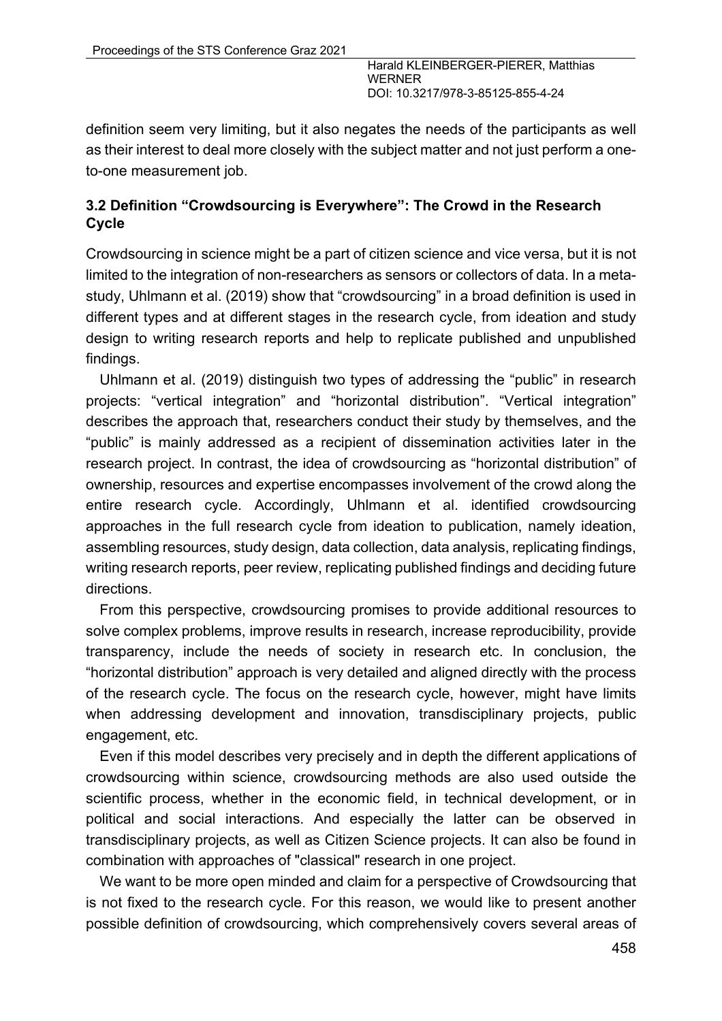definition seem very limiting, but it also negates the needs of the participants as well as their interest to deal more closely with the subject matter and not just perform a oneto-one measurement job.

### **3.2 Definition "Crowdsourcing is Everywhere": The Crowd in the Research Cycle**

Crowdsourcing in science might be a part of citizen science and vice versa, but it is not limited to the integration of non-researchers as sensors or collectors of data. In a metastudy, Uhlmann et al. (2019) show that "crowdsourcing" in a broad definition is used in different types and at different stages in the research cycle, from ideation and study design to writing research reports and help to replicate published and unpublished findings.

Uhlmann et al. (2019) distinguish two types of addressing the "public" in research projects: "vertical integration" and "horizontal distribution". "Vertical integration" describes the approach that, researchers conduct their study by themselves, and the "public" is mainly addressed as a recipient of dissemination activities later in the research project. In contrast, the idea of crowdsourcing as "horizontal distribution" of ownership, resources and expertise encompasses involvement of the crowd along the entire research cycle. Accordingly, Uhlmann et al. identified crowdsourcing approaches in the full research cycle from ideation to publication, namely ideation, assembling resources, study design, data collection, data analysis, replicating findings, writing research reports, peer review, replicating published findings and deciding future directions.

From this perspective, crowdsourcing promises to provide additional resources to solve complex problems, improve results in research, increase reproducibility, provide transparency, include the needs of society in research etc. In conclusion, the "horizontal distribution" approach is very detailed and aligned directly with the process of the research cycle. The focus on the research cycle, however, might have limits when addressing development and innovation, transdisciplinary projects, public engagement, etc.

Even if this model describes very precisely and in depth the different applications of crowdsourcing within science, crowdsourcing methods are also used outside the scientific process, whether in the economic field, in technical development, or in political and social interactions. And especially the latter can be observed in transdisciplinary projects, as well as Citizen Science projects. It can also be found in combination with approaches of "classical" research in one project.

We want to be more open minded and claim for a perspective of Crowdsourcing that is not fixed to the research cycle. For this reason, we would like to present another possible definition of crowdsourcing, which comprehensively covers several areas of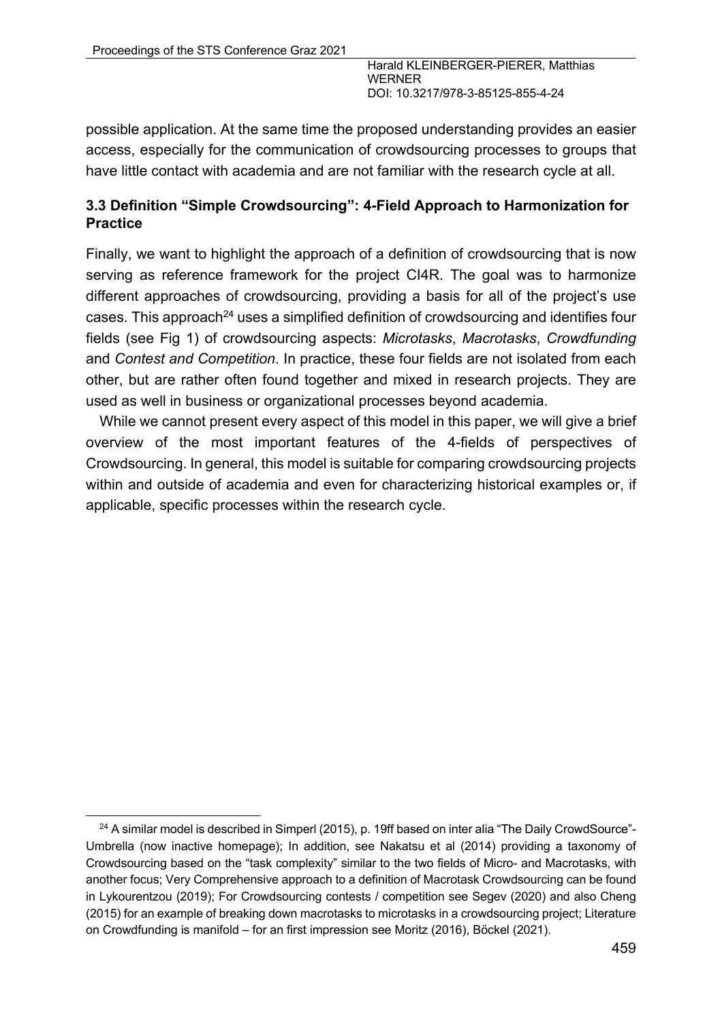possible application. At the same time the proposed understanding provides an easier access, especially for the communication of crowdsourcing processes to groups that have little contact with academia and are not familiar with the research cycle at all.

### **3.3 Definition "Simple Crowdsourcing": 4-Field Approach to Harmonization for Practice**

Finally, we want to highlight the approach of a definition of crowdsourcing that is now serving as reference framework for the project CI4R. The goal was to harmonize different approaches of crowdsourcing, providing a basis for all of the project's use cases. This approach<sup>24</sup> uses a simplified definition of crowdsourcing and identifies four fields (see Fig 1) of crowdsourcing aspects: *Microtasks*, *Macrotasks*, *Crowdfunding* and *Contest and Competition*. In practice, these four fields are not isolated from each other, but are rather often found together and mixed in research projects. They are used as well in business or organizational processes beyond academia.

While we cannot present every aspect of this model in this paper, we will give a brief overview of the most important features of the 4-fields of perspectives of Crowdsourcing. In general, this model is suitable for comparing crowdsourcing projects within and outside of academia and even for characterizing historical examples or, if applicable, specific processes within the research cycle.

<sup>&</sup>lt;sup>24</sup> A similar model is described in Simperl (2015), p. 19ff based on inter alia "The Daily CrowdSource"-Umbrella (now inactive homepage); In addition, see Nakatsu et al (2014) providing a taxonomy of Crowdsourcing based on the "task complexity" similar to the two fields of Micro- and Macrotasks, with another focus; Very Comprehensive approach to a definition of Macrotask Crowdsourcing can be found in Lykourentzou (2019); For Crowdsourcing contests / competition see Segev (2020) and also Cheng (2015) for an example of breaking down macrotasks to microtasks in a crowdsourcing project; Literature on Crowdfunding is manifold – for an first impression see Moritz (2016), Böckel (2021).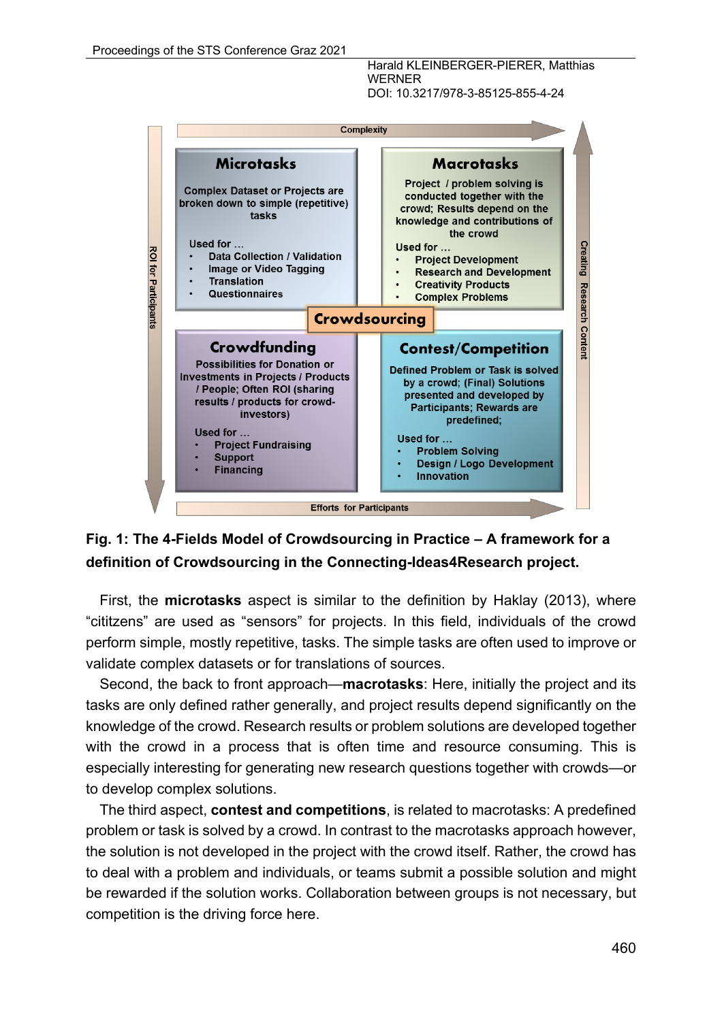

## **Fig. 1: The 4-Fields Model of Crowdsourcing in Practice – A framework for a definition of Crowdsourcing in the Connecting-Ideas4Research project.**

First, the **microtasks** aspect is similar to the definition by Haklay (2013), where "cititzens" are used as "sensors" for projects. In this field, individuals of the crowd perform simple, mostly repetitive, tasks. The simple tasks are often used to improve or validate complex datasets or for translations of sources.

Second, the back to front approach—**macrotasks**: Here, initially the project and its tasks are only defined rather generally, and project results depend significantly on the knowledge of the crowd. Research results or problem solutions are developed together with the crowd in a process that is often time and resource consuming. This is especially interesting for generating new research questions together with crowds—or to develop complex solutions.

The third aspect, **contest and competitions**, is related to macrotasks: A predefined problem or task is solved by a crowd. In contrast to the macrotasks approach however, the solution is not developed in the project with the crowd itself. Rather, the crowd has to deal with a problem and individuals, or teams submit a possible solution and might be rewarded if the solution works. Collaboration between groups is not necessary, but competition is the driving force here.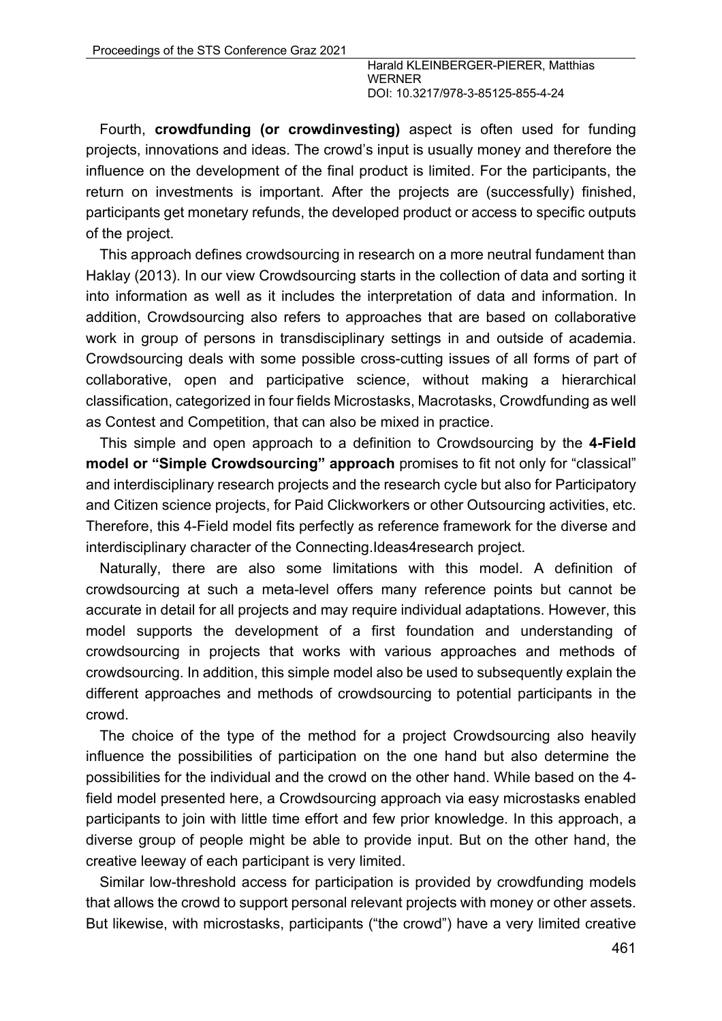Fourth, **crowdfunding (or crowdinvesting)** aspect is often used for funding projects, innovations and ideas. The crowd's input is usually money and therefore the influence on the development of the final product is limited. For the participants, the return on investments is important. After the projects are (successfully) finished, participants get monetary refunds, the developed product or access to specific outputs of the project.

This approach defines crowdsourcing in research on a more neutral fundament than Haklay (2013). In our view Crowdsourcing starts in the collection of data and sorting it into information as well as it includes the interpretation of data and information. In addition, Crowdsourcing also refers to approaches that are based on collaborative work in group of persons in transdisciplinary settings in and outside of academia. Crowdsourcing deals with some possible cross-cutting issues of all forms of part of collaborative, open and participative science, without making a hierarchical classification, categorized in four fields Microstasks, Macrotasks, Crowdfunding as well as Contest and Competition, that can also be mixed in practice.

This simple and open approach to a definition to Crowdsourcing by the **4-Field model or "Simple Crowdsourcing" approach** promises to fit not only for "classical" and interdisciplinary research projects and the research cycle but also for Participatory and Citizen science projects, for Paid Clickworkers or other Outsourcing activities, etc. Therefore, this 4-Field model fits perfectly as reference framework for the diverse and interdisciplinary character of the Connecting.Ideas4research project.

Naturally, there are also some limitations with this model. A definition of crowdsourcing at such a meta-level offers many reference points but cannot be accurate in detail for all projects and may require individual adaptations. However, this model supports the development of a first foundation and understanding of crowdsourcing in projects that works with various approaches and methods of crowdsourcing. In addition, this simple model also be used to subsequently explain the different approaches and methods of crowdsourcing to potential participants in the crowd.

The choice of the type of the method for a project Crowdsourcing also heavily influence the possibilities of participation on the one hand but also determine the possibilities for the individual and the crowd on the other hand. While based on the 4 field model presented here, a Crowdsourcing approach via easy microstasks enabled participants to join with little time effort and few prior knowledge. In this approach, a diverse group of people might be able to provide input. But on the other hand, the creative leeway of each participant is very limited.

Similar low-threshold access for participation is provided by crowdfunding models that allows the crowd to support personal relevant projects with money or other assets. But likewise, with microstasks, participants ("the crowd") have a very limited creative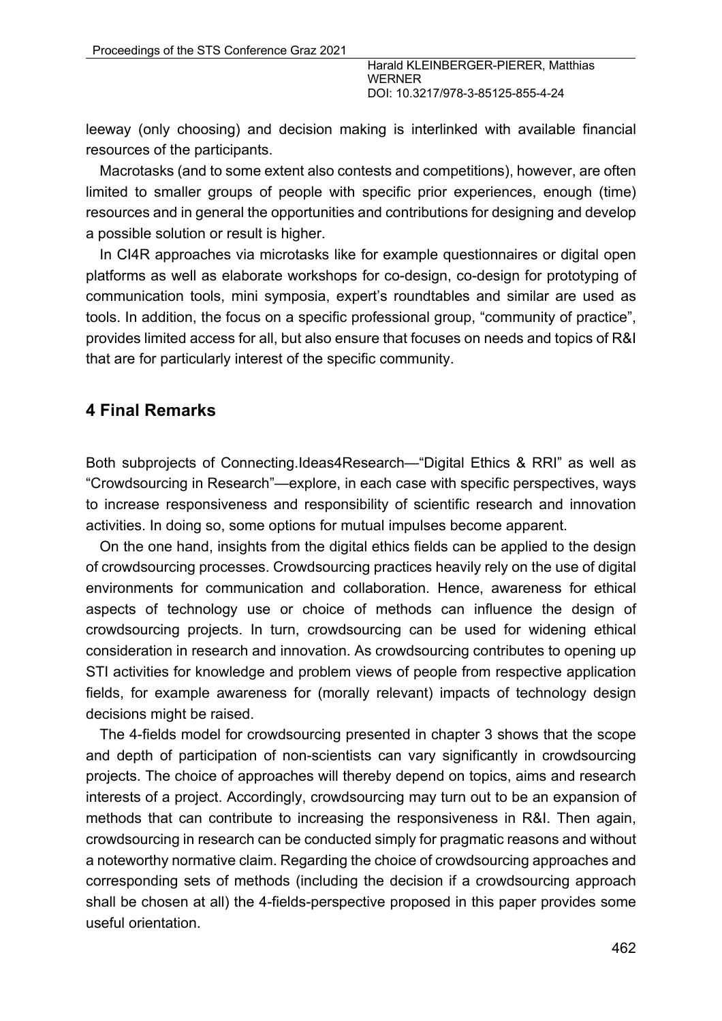leeway (only choosing) and decision making is interlinked with available financial resources of the participants.

Macrotasks (and to some extent also contests and competitions), however, are often limited to smaller groups of people with specific prior experiences, enough (time) resources and in general the opportunities and contributions for designing and develop a possible solution or result is higher.

In CI4R approaches via microtasks like for example questionnaires or digital open platforms as well as elaborate workshops for co-design, co-design for prototyping of communication tools, mini symposia, expert's roundtables and similar are used as tools. In addition, the focus on a specific professional group, "community of practice", provides limited access for all, but also ensure that focuses on needs and topics of R&I that are for particularly interest of the specific community.

### **4 Final Remarks**

Both subprojects of Connecting.Ideas4Research—"Digital Ethics & RRI" as well as "Crowdsourcing in Research"—explore, in each case with specific perspectives, ways to increase responsiveness and responsibility of scientific research and innovation activities. In doing so, some options for mutual impulses become apparent.

On the one hand, insights from the digital ethics fields can be applied to the design of crowdsourcing processes. Crowdsourcing practices heavily rely on the use of digital environments for communication and collaboration. Hence, awareness for ethical aspects of technology use or choice of methods can influence the design of crowdsourcing projects. In turn, crowdsourcing can be used for widening ethical consideration in research and innovation. As crowdsourcing contributes to opening up STI activities for knowledge and problem views of people from respective application fields, for example awareness for (morally relevant) impacts of technology design decisions might be raised.

The 4-fields model for crowdsourcing presented in chapter 3 shows that the scope and depth of participation of non-scientists can vary significantly in crowdsourcing projects. The choice of approaches will thereby depend on topics, aims and research interests of a project. Accordingly, crowdsourcing may turn out to be an expansion of methods that can contribute to increasing the responsiveness in R&I. Then again, crowdsourcing in research can be conducted simply for pragmatic reasons and without a noteworthy normative claim. Regarding the choice of crowdsourcing approaches and corresponding sets of methods (including the decision if a crowdsourcing approach shall be chosen at all) the 4-fields-perspective proposed in this paper provides some useful orientation.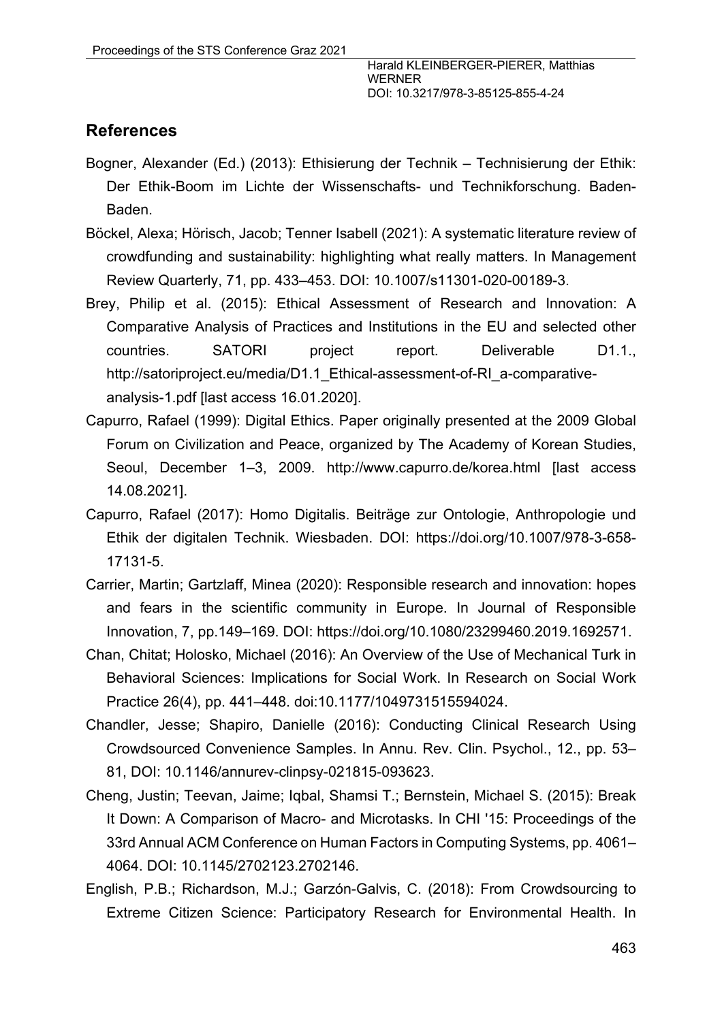## **References**

- Bogner, Alexander (Ed.) (2013): Ethisierung der Technik Technisierung der Ethik: Der Ethik-Boom im Lichte der Wissenschafts- und Technikforschung. Baden-Baden.
- Böckel, Alexa; Hörisch, Jacob; Tenner Isabell (2021): A systematic literature review of crowdfunding and sustainability: highlighting what really matters. In Management Review Quarterly, 71, pp. 433–453. DOI: 10.1007/s11301-020-00189-3.
- Brey, Philip et al. (2015): Ethical Assessment of Research and Innovation: A Comparative Analysis of Practices and Institutions in the EU and selected other countries. SATORI project report. Deliverable D1.1., http://satoriproject.eu/media/D1.1\_Ethical-assessment-of-RI\_a-comparativeanalysis-1.pdf [last access 16.01.2020].
- Capurro, Rafael (1999): Digital Ethics. Paper originally presented at the 2009 Global Forum on Civilization and Peace, organized by The Academy of Korean Studies, Seoul, December 1–3, 2009. http://www.capurro.de/korea.html [last access 14.08.2021].
- Capurro, Rafael (2017): Homo Digitalis. Beiträge zur Ontologie, Anthropologie und Ethik der digitalen Technik. Wiesbaden. DOI: https://doi.org/10.1007/978-3-658- 17131-5.
- Carrier, Martin; Gartzlaff, Minea (2020): Responsible research and innovation: hopes and fears in the scientific community in Europe. In Journal of Responsible Innovation, 7, pp.149–169. DOI: https://doi.org/10.1080/23299460.2019.1692571.
- Chan, Chitat; Holosko, Michael (2016): An Overview of the Use of Mechanical Turk in Behavioral Sciences: Implications for Social Work. In Research on Social Work Practice 26(4), pp. 441–448. doi:10.1177/1049731515594024.
- Chandler, Jesse; Shapiro, Danielle (2016): Conducting Clinical Research Using Crowdsourced Convenience Samples. In Annu. Rev. Clin. Psychol., 12., pp. 53– 81, DOI: 10.1146/annurev-clinpsy-021815-093623.
- Cheng, Justin; Teevan, Jaime; Iqbal, Shamsi T.; Bernstein, Michael S. (2015): Break It Down: A Comparison of Macro- and Microtasks. In CHI '15: Proceedings of the 33rd Annual ACM Conference on Human Factors in Computing Systems, pp. 4061– 4064. DOI: 10.1145/2702123.2702146.
- English, P.B.; Richardson, M.J.; Garzón-Galvis, C. (2018): From Crowdsourcing to Extreme Citizen Science: Participatory Research for Environmental Health. In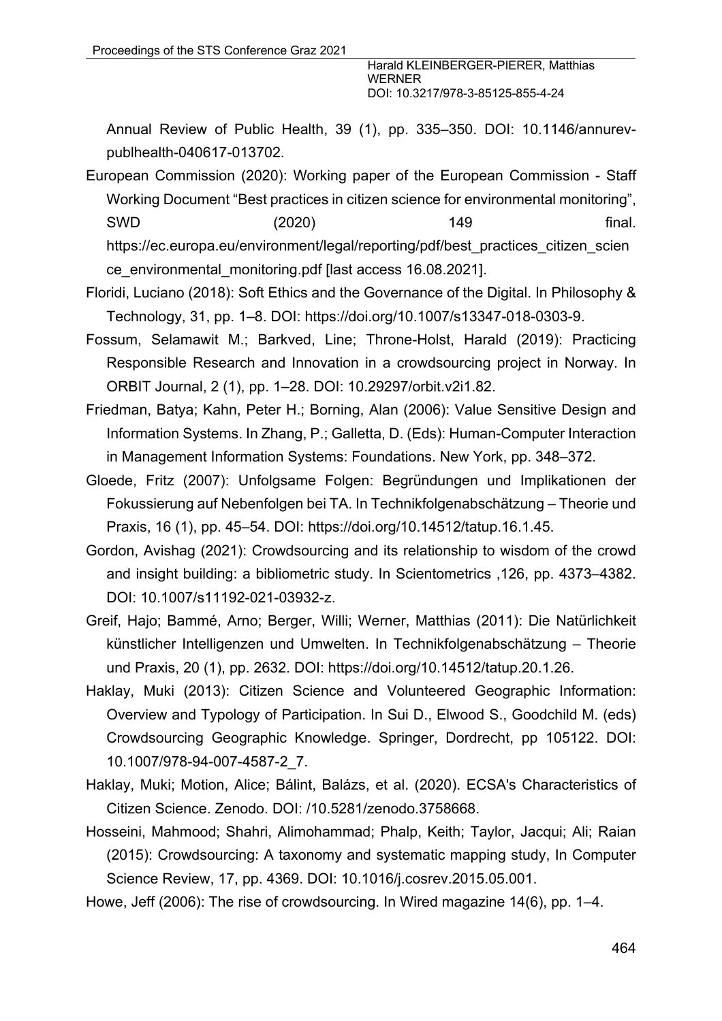Annual Review of Public Health, 39 (1), pp. 335–350. DOI: 10.1146/annurevpublhealth-040617-013702.

European Commission (2020): Working paper of the European Commission - Staff Working Document "Best practices in citizen science for environmental monitoring", SWD (2020) 149 final. https://ec.europa.eu/environment/legal/reporting/pdf/best\_practices\_citizen\_scien ce\_environmental\_monitoring.pdf [last access 16.08.2021].

Floridi, Luciano (2018): Soft Ethics and the Governance of the Digital. In Philosophy & Technology, 31, pp. 1–8. DOI: https://doi.org/10.1007/s13347-018-0303-9.

- Fossum, Selamawit M.; Barkved, Line; Throne-Holst, Harald (2019): Practicing Responsible Research and Innovation in a crowdsourcing project in Norway. In ORBIT Journal, 2 (1), pp. 1–28. DOI: 10.29297/orbit.v2i1.82.
- Friedman, Batya; Kahn, Peter H.; Borning, Alan (2006): Value Sensitive Design and Information Systems. In Zhang, P.; Galletta, D. (Eds): Human-Computer Interaction in Management Information Systems: Foundations. New York, pp. 348–372.
- Gloede, Fritz (2007): Unfolgsame Folgen: Begründungen und Implikationen der Fokussierung auf Nebenfolgen bei TA. In Technikfolgenabschätzung – Theorie und Praxis, 16 (1), pp. 45–54. DOI: https://doi.org/10.14512/tatup.16.1.45.
- Gordon, Avishag (2021): Crowdsourcing and its relationship to wisdom of the crowd and insight building: a bibliometric study. In Scientometrics ,126, pp. 4373–4382. DOI: 10.1007/s11192-021-03932-z.
- Greif, Hajo; Bammé, Arno; Berger, Willi; Werner, Matthias (2011): Die Natürlichkeit künstlicher Intelligenzen und Umwelten. In Technikfolgenabschätzung – Theorie und Praxis, 20 (1), pp. 2632. DOI: https://doi.org/10.14512/tatup.20.1.26.
- Haklay, Muki (2013): Citizen Science and Volunteered Geographic Information: Overview and Typology of Participation. In Sui D., Elwood S., Goodchild M. (eds) Crowdsourcing Geographic Knowledge. Springer, Dordrecht, pp 105122. DOI: 10.1007/978-94-007-4587-2\_7.
- Haklay, Muki; Motion, Alice; Bálint, Balázs, et al. (2020). ECSA's Characteristics of Citizen Science. Zenodo. DOI: /10.5281/zenodo.3758668.
- Hosseini, Mahmood; Shahri, Alimohammad; Phalp, Keith; Taylor, Jacqui; Ali; Raian (2015): Crowdsourcing: A taxonomy and systematic mapping study, In Computer Science Review, 17, pp. 4369. DOI: 10.1016/j.cosrev.2015.05.001.
- Howe, Jeff (2006): The rise of crowdsourcing. In Wired magazine 14(6), pp. 1–4.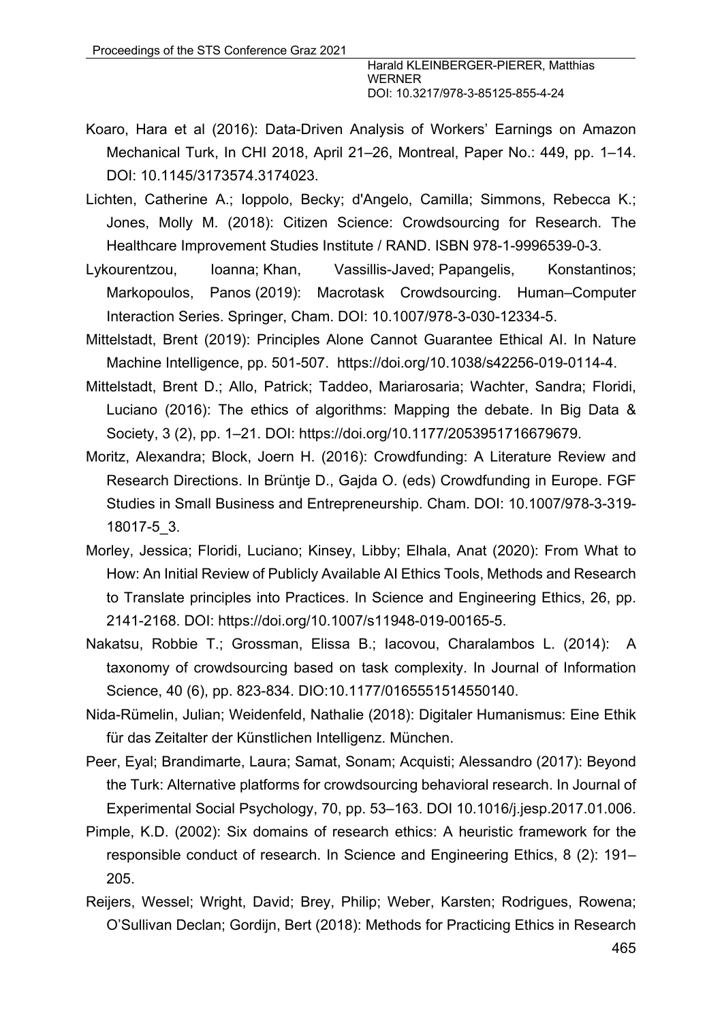- Koaro, Hara et al (2016): Data-Driven Analysis of Workers' Earnings on Amazon Mechanical Turk, In CHI 2018, April 21–26, Montreal, Paper No.: 449, pp. 1–14. DOI: 10.1145/3173574.3174023.
- Lichten, Catherine A.; Ioppolo, Becky; d'Angelo, Camilla; Simmons, Rebecca K.; Jones, Molly M. (2018): Citizen Science: Crowdsourcing for Research. The Healthcare Improvement Studies Institute / RAND. ISBN 978-1-9996539-0-3.
- Lykourentzou, Ioanna; Khan, Vassillis-Javed; Papangelis, Konstantinos; Markopoulos, Panos (2019): Macrotask Crowdsourcing. Human–Computer Interaction Series. Springer, Cham. DOI: 10.1007/978-3-030-12334-5.
- Mittelstadt, Brent (2019): Principles Alone Cannot Guarantee Ethical AI. In Nature Machine Intelligence, pp. 501-507. https://doi.org/10.1038/s42256-019-0114-4.
- Mittelstadt, Brent D.; Allo, Patrick; Taddeo, Mariarosaria; Wachter, Sandra; Floridi, Luciano (2016): The ethics of algorithms: Mapping the debate. In Big Data & Society, 3 (2), pp. 1–21. DOI: https://doi.org/10.1177/2053951716679679.
- Moritz, Alexandra; Block, Joern H. (2016): Crowdfunding: A Literature Review and Research Directions. In Brüntje D., Gajda O. (eds) Crowdfunding in Europe. FGF Studies in Small Business and Entrepreneurship. Cham. DOI: 10.1007/978-3-319- 18017-5\_3.
- Morley, Jessica; Floridi, Luciano; Kinsey, Libby; Elhala, Anat (2020): From What to How: An Initial Review of Publicly Available AI Ethics Tools, Methods and Research to Translate principles into Practices. In Science and Engineering Ethics, 26, pp. 2141-2168. DOI: https://doi.org/10.1007/s11948-019-00165-5.
- Nakatsu, Robbie T.; Grossman, Elissa B.; Iacovou, Charalambos L. (2014): A taxonomy of crowdsourcing based on task complexity. In Journal of Information Science, 40 (6), pp. 823-834. DIO:10.1177/0165551514550140.
- Nida-Rümelin, Julian; Weidenfeld, Nathalie (2018): Digitaler Humanismus: Eine Ethik für das Zeitalter der Künstlichen Intelligenz. München.
- Peer, Eyal; Brandimarte, Laura; Samat, Sonam; Acquisti; Alessandro (2017): Beyond the Turk: Alternative platforms for crowdsourcing behavioral research. In Journal of Experimental Social Psychology, 70, pp. 53–163. DOI 10.1016/j.jesp.2017.01.006.
- Pimple, K.D. (2002): Six domains of research ethics: A heuristic framework for the responsible conduct of research. In Science and Engineering Ethics, 8 (2): 191– 205.
- Reijers, Wessel; Wright, David; Brey, Philip; Weber, Karsten; Rodrigues, Rowena; O'Sullivan Declan; Gordijn, Bert (2018): Methods for Practicing Ethics in Research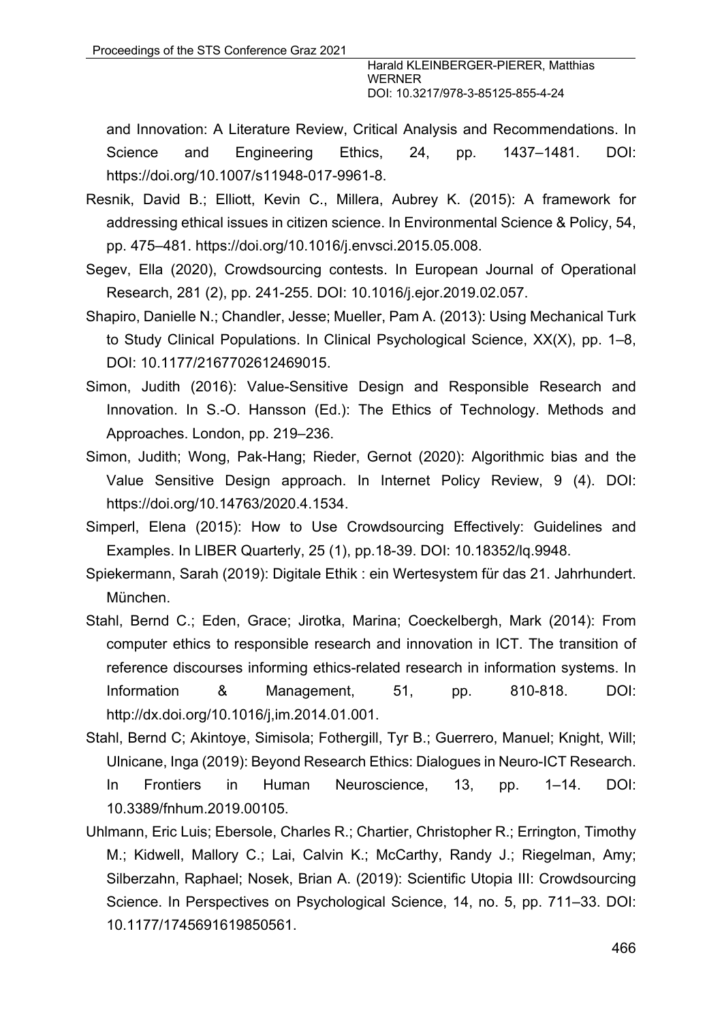and Innovation: A Literature Review, Critical Analysis and Recommendations. In Science and Engineering Ethics, 24, pp. 1437–1481. DOI: https://doi.org/10.1007/s11948-017-9961-8.

- Resnik, David B.; Elliott, Kevin C., Millera, Aubrey K. (2015): A framework for addressing ethical issues in citizen science. In Environmental Science & Policy, 54, pp. 475–481. https://doi.org/10.1016/j.envsci.2015.05.008.
- Segev, Ella (2020), Crowdsourcing contests. In European Journal of Operational Research, 281 (2), pp. 241-255. DOI: 10.1016/j.ejor.2019.02.057.
- Shapiro, Danielle N.; Chandler, Jesse; Mueller, Pam A. (2013): Using Mechanical Turk to Study Clinical Populations. In Clinical Psychological Science, XX(X), pp. 1–8, DOI: 10.1177/2167702612469015.
- Simon, Judith (2016): Value-Sensitive Design and Responsible Research and Innovation. In S.-O. Hansson (Ed.): The Ethics of Technology. Methods and Approaches. London, pp. 219–236.
- Simon, Judith; Wong, Pak-Hang; Rieder, Gernot (2020): Algorithmic bias and the Value Sensitive Design approach. In Internet Policy Review, 9 (4). DOI: https://doi.org/10.14763/2020.4.1534.
- Simperl, Elena (2015): How to Use Crowdsourcing Effectively: Guidelines and Examples. In LIBER Quarterly, 25 (1), pp.18-39. DOI: 10.18352/lq.9948.
- Spiekermann, Sarah (2019): Digitale Ethik : ein Wertesystem für das 21. Jahrhundert. München.
- Stahl, Bernd C.; Eden, Grace; Jirotka, Marina; Coeckelbergh, Mark (2014): From computer ethics to responsible research and innovation in ICT. The transition of reference discourses informing ethics-related research in information systems. In Information & Management, 51, pp. 810-818. DOI: http://dx.doi.org/10.1016/j,im.2014.01.001.
- Stahl, Bernd C; Akintoye, Simisola; Fothergill, Tyr B.; Guerrero, Manuel; Knight, Will; Ulnicane, Inga (2019): Beyond Research Ethics: Dialogues in Neuro-ICT Research. In Frontiers in Human Neuroscience, 13, pp. 1–14. DOI: 10.3389/fnhum.2019.00105.
- Uhlmann, Eric Luis; Ebersole, Charles R.; Chartier, Christopher R.; Errington, Timothy M.; Kidwell, Mallory C.; Lai, Calvin K.; McCarthy, Randy J.; Riegelman, Amy; Silberzahn, Raphael; Nosek, Brian A. (2019): Scientific Utopia III: Crowdsourcing Science. In Perspectives on Psychological Science, 14, no. 5, pp. 711–33. DOI: 10.1177/1745691619850561.